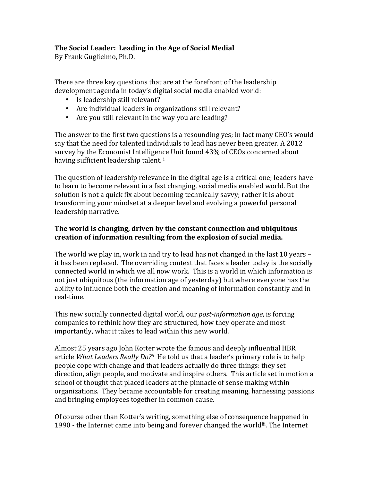# **The Social Leader: Leading in the Age of Social Medial**

By Frank Guglielmo, Ph.D.

There are three key questions that are at the forefront of the leadership development agenda in today's digital social media enabled world:

- Is leadership still relevant?
- Are individual leaders in organizations still relevant?
- Are you still relevant in the way you are leading?

The answer to the first two questions is a resounding yes; in fact many CEO's would say that the need for talented individuals to lead has never been greater. A 2012 survey by the Economist Intelligence Unit found 43% of CEOs concerned about having sufficient leadership talent.<sup>i</sup>

The question of leadership relevance in the digital age is a critical one; leaders have to learn to become relevant in a fast changing, social media enabled world. But the solution is not a quick fix about becoming technically savvy; rather it is about transforming your mindset at a deeper level and evolving a powerful personal leadership narrative.

## **The world is changing, driven by the constant connection and ubiquitous** creation of information resulting from the explosion of social media.

The world we play in, work in and try to lead has not changed in the last 10 years  $$ it has been replaced. The overriding context that faces a leader today is the socially connected world in which we all now work. This is a world in which information is not just ubiquitous (the information age of yesterday) but where everyone has the ability to influence both the creation and meaning of information constantly and in real-time. 

This new socially connected digital world, our *post-information age*, is forcing companies to rethink how they are structured, how they operate and most importantly, what it takes to lead within this new world.

Almost 25 years ago John Kotter wrote the famous and deeply influential HBR article *What Leaders Really Do?ii* He told us that a leader's primary role is to help people cope with change and that leaders actually do three things: they set direction, align people, and motivate and inspire others. This article set in motion a school of thought that placed leaders at the pinnacle of sense making within organizations. They became accountable for creating meaning, harnessing passions and bringing employees together in common cause.

Of course other than Kotter's writing, something else of consequence happened in 1990 - the Internet came into being and forever changed the worldii. The Internet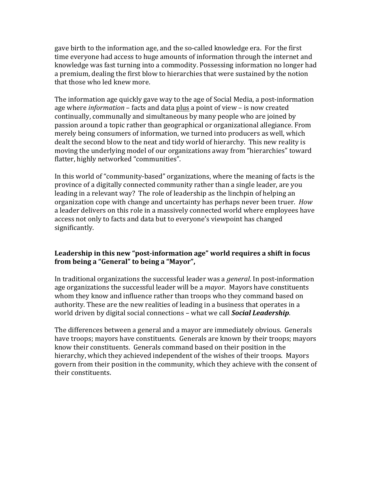gave birth to the information age, and the so-called knowledge era. For the first time everyone had access to huge amounts of information through the internet and knowledge was fast turning into a commodity. Possessing information no longer had a premium, dealing the first blow to hierarchies that were sustained by the notion that those who led knew more.

The information age quickly gave way to the age of Social Media, a post-information age where *information* – facts and data plus a point of view – is now created continually, communally and simultaneous by many people who are joined by passion around a topic rather than geographical or organizational allegiance. From merely being consumers of information, we turned into producers as well, which dealt the second blow to the neat and tidy world of hierarchy. This new reality is moving the underlying model of our organizations away from "hierarchies" toward flatter, highly networked "communities".

In this world of "community-based" organizations, where the meaning of facts is the province of a digitally connected community rather than a single leader, are you leading in a relevant way? The role of leadership as the linchpin of helping an organization cope with change and uncertainty has perhaps never been truer. *How* a leader delivers on this role in a massively connected world where employees have access not only to facts and data but to everyone's viewpoint has changed significantly. 

### Leadership in this new "post-information age" world requires a shift in focus from being a "General" to being a "Mayor",

In traditional organizations the successful leader was a *general*. In post-information age organizations the successful leader will be a *mayor*. Mayors have constituents whom they know and influence rather than troops who they command based on authority. These are the new realities of leading in a business that operates in a world driven by digital social connections - what we call **Social Leadership**.

The differences between a general and a mayor are immediately obvious. Generals have troops; mayors have constituents. Generals are known by their troops; mayors know their constituents. Generals command based on their position in the hierarchy, which they achieved independent of the wishes of their troops. Mayors govern from their position in the community, which they achieve with the consent of their constituents.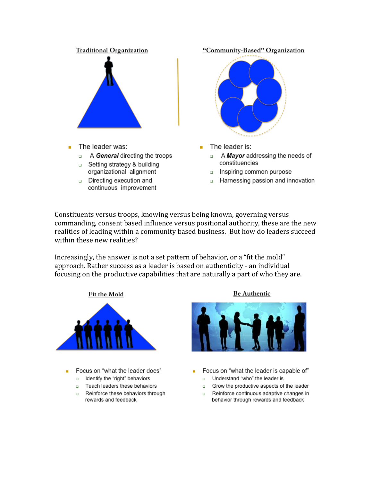

- The leader was: ٠
	- A General directing the troops  $\Box$
	- □ Setting strategy & building organizational alignment
	- Directing execution and  $\Box$ continuous improvement

"Community-Based" Organization



- The leader is:
	- A Mayor addressing the needs of  $\Box$ constituencies
	- inspiring common purpose
	- **BET** Harnessing passion and innovation

Constituents versus troops, knowing versus being known, governing versus commanding, consent based influence versus positional authority, these are the new realities of leading within a community based business. But how do leaders succeed within these new realities?

Increasingly, the answer is not a set pattern of behavior, or a "fit the mold" approach. Rather success as a leader is based on authenticity - an individual focusing on the productive capabilities that are naturally a part of who they are.



- Focus on "what the leader does"
	- a Identify the "right" behaviors
	- Teach leaders these behaviors
	- Reinforce these behaviors through rewards and feedback

**Be Authentic** 



- Focus on "what the leader is capable of" u Understand "who" the leader is
	- Grow the productive aspects of the leader
	- Reinforce continuous adaptive changes in behavior through rewards and feedback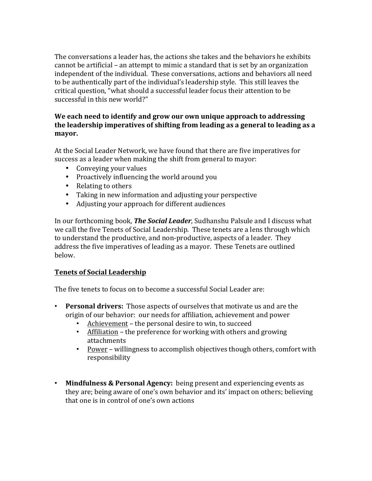The conversations a leader has, the actions she takes and the behaviors he exhibits cannot be artificial – an attempt to mimic a standard that is set by an organization independent of the individual. These conversations, actions and behaviors all need to be authentically part of the individual's leadership style. This still leaves the critical question, "what should a successful leader focus their attention to be successful in this new world?"

### We each need to identify and grow our own unique approach to addressing the leadership imperatives of shifting from leading as a general to leading as a **mayor.**

At the Social Leader Network, we have found that there are five imperatives for success as a leader when making the shift from general to mayor:

- Conveying your values
- Proactively influencing the world around you
- Relating to others
- Taking in new information and adjusting your perspective
- Adjusting your approach for different audiences

In our forthcoming book, **The Social Leader**, Sudhanshu Palsule and I discuss what we call the five Tenets of Social Leadership. These tenets are a lens through which to understand the productive, and non-productive, aspects of a leader. They address the five imperatives of leading as a mayor. These Tenets are outlined below.

# **Tenets of Social Leadership**

The five tenets to focus on to become a successful Social Leader are:

- **Personal drivers:** Those aspects of ourselves that motivate us and are the origin of our behavior: our needs for affiliation, achievement and power
	- Achievement the personal desire to win, to succeed
	- Affiliation the preference for working with others and growing attachments
	- Power willingness to accomplish objectives though others, comfort with responsibility
- Mindfulness & Personal Agency: being present and experiencing events as they are; being aware of one's own behavior and its' impact on others; believing that one is in control of one's own actions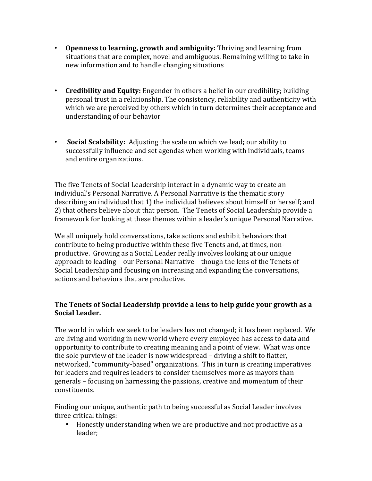- **Openness to learning, growth and ambiguity:** Thriving and learning from situations that are complex, novel and ambiguous. Remaining willing to take in new information and to handle changing situations
- **Credibility and Equity:** Engender in others a belief in our credibility; building personal trust in a relationship. The consistency, reliability and authenticity with which we are perceived by others which in turn determines their acceptance and understanding of our behavior
- **Social Scalability:** Adjusting the scale on which we lead; our ability to successfully influence and set agendas when working with individuals, teams and entire organizations.

The five Tenets of Social Leadership interact in a dynamic way to create an individual's Personal Narrative. A Personal Narrative is the thematic story describing an individual that 1) the individual believes about himself or herself; and 2) that others believe about that person. The Tenets of Social Leadership provide a framework for looking at these themes within a leader's unique Personal Narrative.

We all uniquely hold conversations, take actions and exhibit behaviors that contribute to being productive within these five Tenets and, at times, nonproductive. Growing as a Social Leader really involves looking at our unique approach to leading  $-$  our Personal Narrative  $-$  though the lens of the Tenets of Social Leadership and focusing on increasing and expanding the conversations, actions and behaviors that are productive.

### **The Tenets of Social Leadership provide a lens to help guide your growth as a Social Leader.**

The world in which we seek to be leaders has not changed; it has been replaced. We are living and working in new world where every employee has access to data and opportunity to contribute to creating meaning and a point of view. What was once the sole purview of the leader is now widespread  $-$  driving a shift to flatter, networked, "community-based" organizations. This in turn is creating imperatives for leaders and requires leaders to consider themselves more as mayors than generals – focusing on harnessing the passions, creative and momentum of their constituents.

Finding our unique, authentic path to being successful as Social Leader involves three critical things:

• Honestly understanding when we are productive and not productive as a leader;